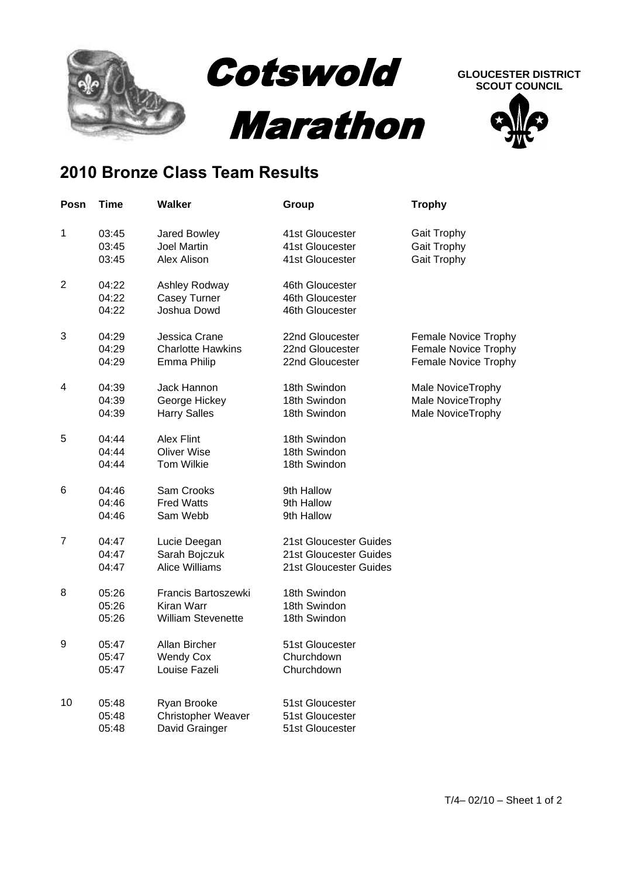

## **SCOUT COUNCIL**



## **2010 Bronze Class Team Results**

| Posn           | Time                    | <b>Walker</b>                                                  | Group                                                                      | <b>Trophy</b>                                                        |
|----------------|-------------------------|----------------------------------------------------------------|----------------------------------------------------------------------------|----------------------------------------------------------------------|
| 1              | 03:45<br>03:45<br>03:45 | Jared Bowley<br><b>Joel Martin</b><br>Alex Alison              | 41st Gloucester<br>41st Gloucester<br>41st Gloucester                      | <b>Gait Trophy</b><br>Gait Trophy<br><b>Gait Trophy</b>              |
| $\overline{2}$ | 04:22<br>04:22<br>04:22 | Ashley Rodway<br>Casey Turner<br>Joshua Dowd                   | 46th Gloucester<br>46th Gloucester<br>46th Gloucester                      |                                                                      |
| 3              | 04:29<br>04:29<br>04:29 | Jessica Crane<br><b>Charlotte Hawkins</b><br>Emma Philip       | 22nd Gloucester<br>22nd Gloucester<br>22nd Gloucester                      | Female Novice Trophy<br>Female Novice Trophy<br>Female Novice Trophy |
| 4              | 04:39<br>04:39<br>04:39 | Jack Hannon<br>George Hickey<br><b>Harry Salles</b>            | 18th Swindon<br>18th Swindon<br>18th Swindon                               | Male NoviceTrophy<br>Male NoviceTrophy<br>Male NoviceTrophy          |
| 5              | 04:44<br>04:44<br>04:44 | <b>Alex Flint</b><br>Oliver Wise<br>Tom Wilkie                 | 18th Swindon<br>18th Swindon<br>18th Swindon                               |                                                                      |
| 6              | 04:46<br>04:46<br>04:46 | Sam Crooks<br><b>Fred Watts</b><br>Sam Webb                    | 9th Hallow<br>9th Hallow<br>9th Hallow                                     |                                                                      |
| $\overline{7}$ | 04:47<br>04:47<br>04:47 | Lucie Deegan<br>Sarah Bojczuk<br><b>Alice Williams</b>         | 21st Gloucester Guides<br>21st Gloucester Guides<br>21st Gloucester Guides |                                                                      |
| 8              | 05:26<br>05:26<br>05:26 | Francis Bartoszewki<br>Kiran Warr<br><b>William Stevenette</b> | 18th Swindon<br>18th Swindon<br>18th Swindon                               |                                                                      |
| 9              | 05:47<br>05:47<br>05:47 | Allan Bircher<br><b>Wendy Cox</b><br>Louise Fazeli             | 51st Gloucester<br>Churchdown<br>Churchdown                                |                                                                      |
| 10             | 05:48<br>05:48<br>05:48 | Ryan Brooke<br>Christopher Weaver<br>David Grainger            | 51st Gloucester<br>51st Gloucester<br>51st Gloucester                      |                                                                      |